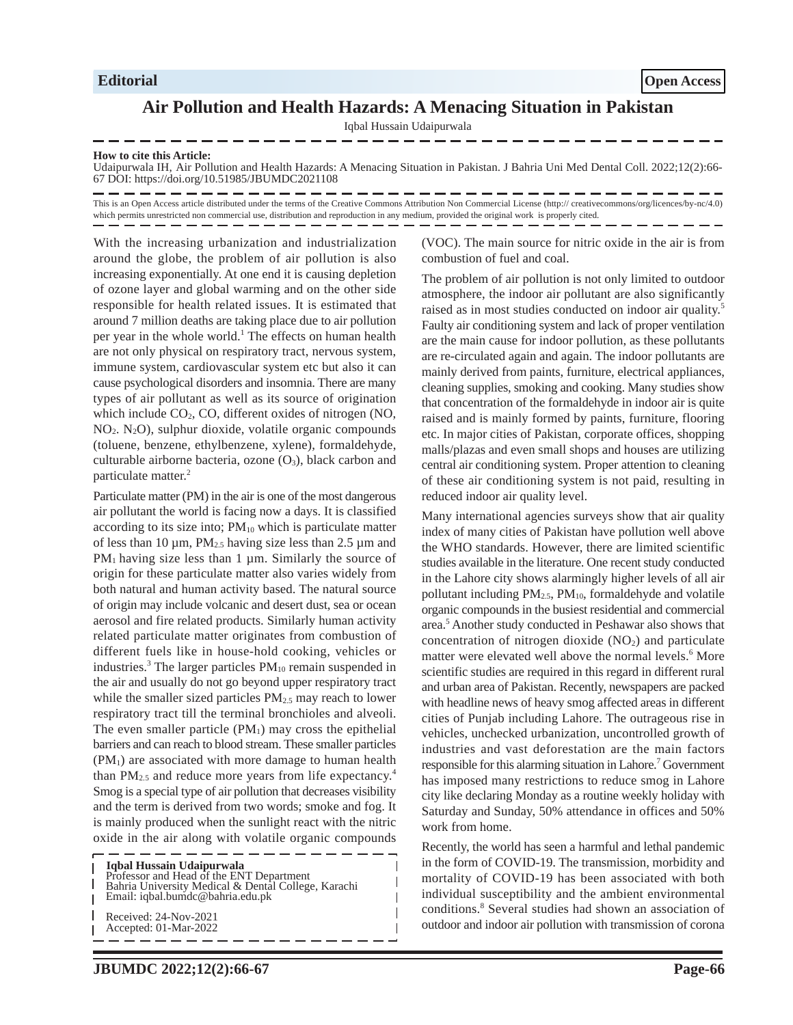## **Air Pollution and Health Hazards: A Menacing Situation in Pakistan**

Iqbal Hussain Udaipurwala

## **How to cite this Article:**

Udaipurwala IH, Air Pollution and Health Hazards: A Menacing Situation in Pakistan. J Bahria Uni Med Dental Coll. 2022;12(2):66- 67 DOI: https://doi.org/10.51985/JBUMDC2021108

This is an Open Access article distributed under the terms of the Creative Commons Attribution Non Commercial License (http:// creativecommons/org/licences/by-nc/4.0) which permits unrestricted non commercial use, distribution and reproduction in any medium, provided the original work is properly cited.

I

With the increasing urbanization and industrialization around the globe, the problem of air pollution is also increasing exponentially. At one end it is causing depletion of ozone layer and global warming and on the other side responsible for health related issues. It is estimated that around 7 million deaths are taking place due to air pollution per year in the whole world.<sup>1</sup> The effects on human health are not only physical on respiratory tract, nervous system, immune system, cardiovascular system etc but also it can cause psychological disorders and insomnia. There are many types of air pollutant as well as its source of origination which include  $CO<sub>2</sub>$ , CO, different oxides of nitrogen (NO,  $NO<sub>2</sub>$ .  $N<sub>2</sub>O$ ), sulphur dioxide, volatile organic compounds (toluene, benzene, ethylbenzene, xylene), formaldehyde, culturable airborne bacteria, ozone  $(O_3)$ , black carbon and particulate matter.<sup>2</sup>

Particulate matter (PM) in the air is one of the most dangerous air pollutant the world is facing now a days. It is classified according to its size into; PM<sub>10</sub> which is particulate matter of less than 10  $\mu$ m, PM<sub>2.5</sub> having size less than 2.5  $\mu$ m and  $PM<sub>1</sub>$  having size less than 1  $\mu$ m. Similarly the source of origin for these particulate matter also varies widely from both natural and human activity based. The natural source of origin may include volcanic and desert dust, sea or ocean aerosol and fire related products. Similarly human activity related particulate matter originates from combustion of different fuels like in house-hold cooking, vehicles or industries.<sup>3</sup> The larger particles  $PM_{10}$  remain suspended in the air and usually do not go beyond upper respiratory tract while the smaller sized particles PM<sub>2.5</sub> may reach to lower respiratory tract till the terminal bronchioles and alveoli. The even smaller particle  $(PM_1)$  may cross the epithelial barriers and can reach to blood stream. These smaller particles (PM1) are associated with more damage to human health than  $PM_{2.5}$  and reduce more years from life expectancy.<sup>4</sup> Smog is a special type of air pollution that decreases visibility and the term is derived from two words; smoke and fog. It is mainly produced when the sunlight react with the nitric oxide in the air along with volatile organic compounds

**Iqbal Hussain Udaipurwala** Professor and Head of the ENT Department Bahria University Medical & Dental College, Karachi Email: iqbal.bumdc@bahria.edu.pk Received: 24-Nov-2021 Accepted: 01-Mar-2022

(VOC). The main source for nitric oxide in the air is from combustion of fuel and coal.

The problem of air pollution is not only limited to outdoor atmosphere, the indoor air pollutant are also significantly raised as in most studies conducted on indoor air quality.<sup>5</sup> Faulty air conditioning system and lack of proper ventilation are the main cause for indoor pollution, as these pollutants are re-circulated again and again. The indoor pollutants are mainly derived from paints, furniture, electrical appliances, cleaning supplies, smoking and cooking. Many studies show that concentration of the formaldehyde in indoor air is quite raised and is mainly formed by paints, furniture, flooring etc. In major cities of Pakistan, corporate offices, shopping malls/plazas and even small shops and houses are utilizing central air conditioning system. Proper attention to cleaning of these air conditioning system is not paid, resulting in reduced indoor air quality level.

Many international agencies surveys show that air quality index of many cities of Pakistan have pollution well above the WHO standards. However, there are limited scientific studies available in the literature. One recent study conducted in the Lahore city shows alarmingly higher levels of all air pollutant including  $PM_{2.5}$ ,  $PM_{10}$ , formaldehyde and volatile organic compounds in the busiest residential and commercial area.<sup>5</sup> Another study conducted in Peshawar also shows that concentration of nitrogen dioxide  $(NO<sub>2</sub>)$  and particulate matter were elevated well above the normal levels.<sup>6</sup> More scientific studies are required in this regard in different rural and urban area of Pakistan. Recently, newspapers are packed with headline news of heavy smog affected areas in different cities of Punjab including Lahore. The outrageous rise in vehicles, unchecked urbanization, uncontrolled growth of industries and vast deforestation are the main factors responsible for this alarming situation in Lahore.<sup>7</sup> Government has imposed many restrictions to reduce smog in Lahore city like declaring Monday as a routine weekly holiday with Saturday and Sunday, 50% attendance in offices and 50% work from home.

Recently, the world has seen a harmful and lethal pandemic in the form of COVID-19. The transmission, morbidity and mortality of COVID-19 has been associated with both individual susceptibility and the ambient environmental conditions.<sup>8</sup> Several studies had shown an association of outdoor and indoor air pollution with transmission of corona